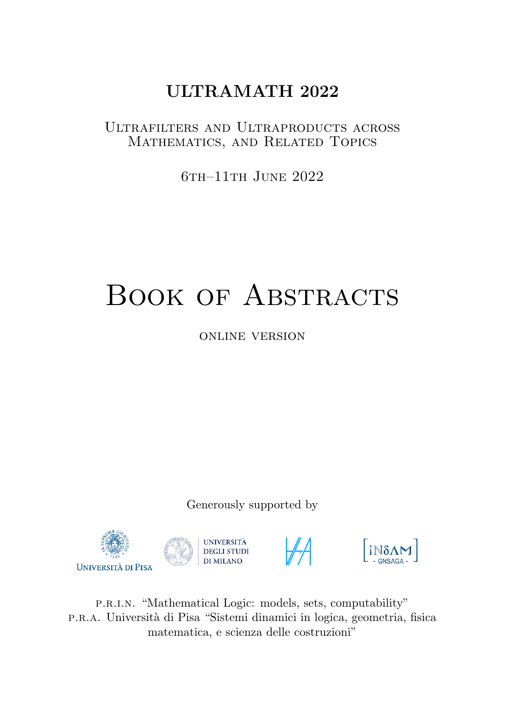# ULTRAMATH 2022

## Ultrafilters and Ultraproducts across Mathematics, and Related Topics

6th–11th June 2022

# BOOK OF ABSTRACTS

online version

Generously supported by







p.r.i.n. "Mathematical Logic: models, sets, computability" p.r.a. Universit`a di Pisa "Sistemi dinamici in logica, geometria, fisica matematica, e scienza delle costruzioni"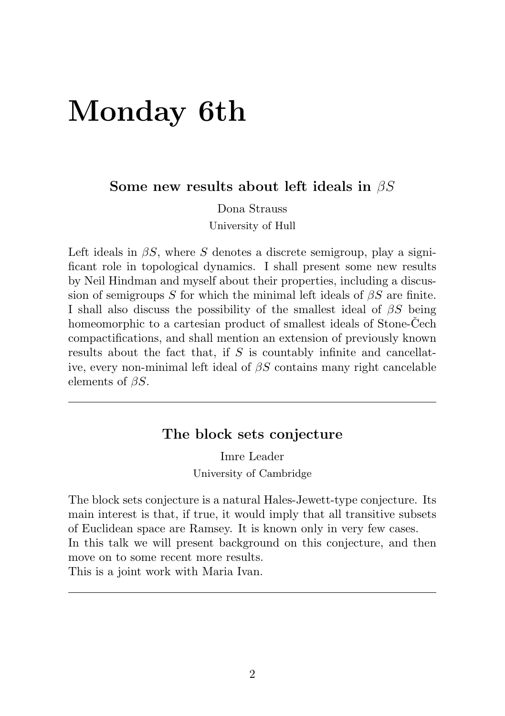# <span id="page-1-0"></span>Monday 6th

Some new results about left ideals in  $\beta S$ 

Dona Strauss

University of Hull

Left ideals in  $\beta S$ , where S denotes a discrete semigroup, play a significant role in topological dynamics. I shall present some new results by Neil Hindman and myself about their properties, including a discussion of semigroups S for which the minimal left ideals of  $\beta S$  are finite. I shall also discuss the possibility of the smallest ideal of  $\beta S$  being homeomorphic to a cartesian product of smallest ideals of Stone-Čech compactifications, and shall mention an extension of previously known results about the fact that, if  $S$  is countably infinite and cancellative, every non-minimal left ideal of  $\beta S$  contains many right cancelable elements of  $\beta S$ .

## The block sets conjecture

Imre Leader University of Cambridge

The block sets conjecture is a natural Hales-Jewett-type conjecture. Its main interest is that, if true, it would imply that all transitive subsets of Euclidean space are Ramsey. It is known only in very few cases. In this talk we will present background on this conjecture, and then move on to some recent more results.

This is a joint work with Maria Ivan.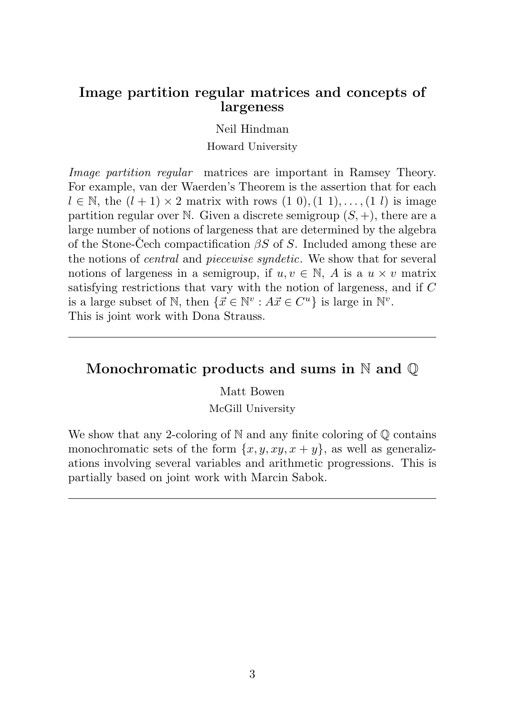#### <span id="page-2-0"></span>Image partition regular matrices and concepts of largeness

Neil Hindman

Howard University

Image partition regular matrices are important in Ramsey Theory. For example, van der Waerden's Theorem is the assertion that for each  $l \in \mathbb{N}$ , the  $(l + 1) \times 2$  matrix with rows  $(1\ 0), (1\ 1), \ldots, (1\ l)$  is image partition regular over N. Given a discrete semigroup  $(S, +)$ , there are a large number of notions of largeness that are determined by the algebra of the Stone-Čech compactification  $\beta S$  of S. Included among these are the notions of central and piecewise syndetic. We show that for several notions of largeness in a semigroup, if  $u, v \in \mathbb{N}$ , A is a  $u \times v$  matrix satisfying restrictions that vary with the notion of largeness, and if C is a large subset of  $\mathbb{N}$ , then  $\{\vec{x} \in \mathbb{N}^v : A\vec{x} \in C^u\}$  is large in  $\mathbb{N}^v$ . This is joint work with Dona Strauss.

## Monochromatic products and sums in N and  $\mathbb O$

Matt Bowen

McGill University

We show that any 2-coloring of  $\mathbb N$  and any finite coloring of  $\mathbb Q$  contains monochromatic sets of the form  $\{x, y, xy, x + y\}$ , as well as generalizations involving several variables and arithmetic progressions. This is partially based on joint work with Marcin Sabok.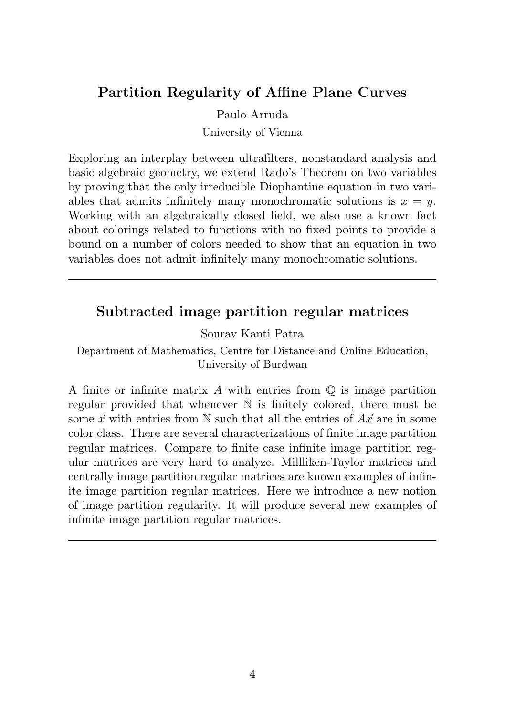## <span id="page-3-0"></span>Partition Regularity of Affine Plane Curves

Paulo Arruda

University of Vienna

Exploring an interplay between ultrafilters, nonstandard analysis and basic algebraic geometry, we extend Rado's Theorem on two variables by proving that the only irreducible Diophantine equation in two variables that admits infinitely many monochromatic solutions is  $x = y$ . Working with an algebraically closed field, we also use a known fact about colorings related to functions with no fixed points to provide a bound on a number of colors needed to show that an equation in two variables does not admit infinitely many monochromatic solutions.

### Subtracted image partition regular matrices

Sourav Kanti Patra

Department of Mathematics, Centre for Distance and Online Education, University of Burdwan

A finite or infinite matrix  $A$  with entries from  $\mathbb Q$  is image partition regular provided that whenever N is finitely colored, there must be some  $\vec{x}$  with entries from N such that all the entries of  $A\vec{x}$  are in some color class. There are several characterizations of finite image partition regular matrices. Compare to finite case infinite image partition regular matrices are very hard to analyze. Millliken-Taylor matrices and centrally image partition regular matrices are known examples of infinite image partition regular matrices. Here we introduce a new notion of image partition regularity. It will produce several new examples of infinite image partition regular matrices.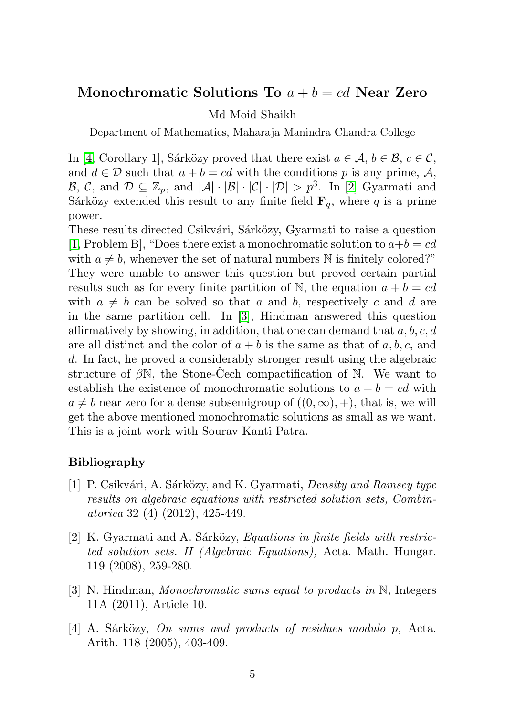#### <span id="page-4-4"></span>Monochromatic Solutions To  $a + b = cd$  Near Zero

#### Md Moid Shaikh

Department of Mathematics, Maharaja Manindra Chandra College

In [\[4,](#page-4-0) Corollary 1], Sarközy proved that there exist  $a \in \mathcal{A}, b \in \mathcal{B}, c \in \mathcal{C}$ , and  $d \in \mathcal{D}$  such that  $a + b = cd$  with the conditions p is any prime, A,  $\mathcal{B}, \mathcal{C}, \text{ and } \mathcal{D} \subseteq \mathbb{Z}_p, \text{ and } |\mathcal{A}| \cdot |\mathcal{B}| \cdot |\mathcal{C}| \cdot |\mathcal{D}| > p^3. \text{ In } [2] \text{ Gyarmati and }$  $\mathcal{B}, \mathcal{C}, \text{ and } \mathcal{D} \subseteq \mathbb{Z}_p, \text{ and } |\mathcal{A}| \cdot |\mathcal{B}| \cdot |\mathcal{C}| \cdot |\mathcal{D}| > p^3. \text{ In } [2] \text{ Gyarmati and }$  $\mathcal{B}, \mathcal{C}, \text{ and } \mathcal{D} \subseteq \mathbb{Z}_p, \text{ and } |\mathcal{A}| \cdot |\mathcal{B}| \cdot |\mathcal{C}| \cdot |\mathcal{D}| > p^3. \text{ In } [2] \text{ Gyarmati and }$ Sárközy extended this result to any finite field  $\mathbf{F}_q$ , where q is a prime power.

These results directed Csikvári, Sárközy, Gyarmati to raise a question [\[1,](#page-4-2) Problem B], "Does there exist a monochromatic solution to  $a+b=cd$ with  $a \neq b$ , whenever the set of natural numbers N is finitely colored?" They were unable to answer this question but proved certain partial results such as for every finite partition of N, the equation  $a + b = cd$ with  $a \neq b$  can be solved so that a and b, respectively c and d are in the same partition cell. In [\[3\]](#page-4-3), Hindman answered this question affirmatively by showing, in addition, that one can demand that  $a, b, c, d$ are all distinct and the color of  $a + b$  is the same as that of a, b, c, and d. In fact, he proved a considerably stronger result using the algebraic structure of  $\beta\mathbb{N}$ , the Stone-Cech compactification of  $\mathbb{N}$ . We want to establish the existence of monochromatic solutions to  $a + b = cd$  with  $a \neq b$  near zero for a dense subsemigroup of  $((0, \infty), +)$ , that is, we will get the above mentioned monochromatic solutions as small as we want. This is a joint work with Sourav Kanti Patra.

#### Bibliography

- <span id="page-4-2"></span>[1] P. Csikvári, A. Sárközy, and K. Gyarmati, *Density and Ramsey type* results on algebraic equations with restricted solution sets, Combinatorica 32 (4) (2012), 425-449.
- <span id="page-4-1"></span> $[2]$  K. Gyarmati and A. Sárközy, *Equations in finite fields with restric*ted solution sets. II (Algebraic Equations), Acta. Math. Hungar. 119 (2008), 259-280.
- <span id="page-4-3"></span>[3] N. Hindman, Monochromatic sums equal to products in N, Integers 11A (2011), Article 10.
- <span id="page-4-0"></span> $[4]$  A. Sárközy, On sums and products of residues modulo p, Acta. Arith. 118 (2005), 403-409.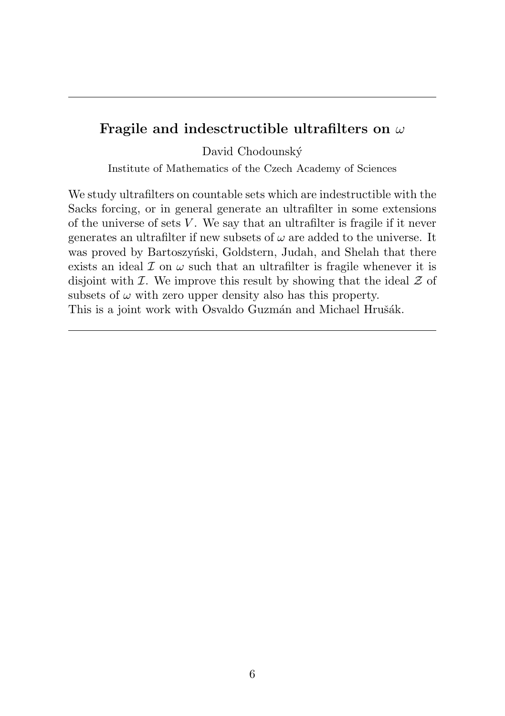### <span id="page-5-0"></span>Fragile and indesctructible ultrafilters on  $\omega$

David Chodounský

Institute of Mathematics of the Czech Academy of Sciences

We study ultrafilters on countable sets which are indestructible with the Sacks forcing, or in general generate an ultrafilter in some extensions of the universe of sets  $V$ . We say that an ultrafilter is fragile if it never generates an ultrafilter if new subsets of  $\omega$  are added to the universe. It was proved by Bartoszyński, Goldstern, Judah, and Shelah that there exists an ideal  $\mathcal I$  on  $\omega$  such that an ultrafilter is fragile whenever it is disjoint with  $\mathcal I$ . We improve this result by showing that the ideal  $\mathcal Z$  of subsets of  $\omega$  with zero upper density also has this property. This is a joint work with Osvaldo Guzmán and Michael Hrušák.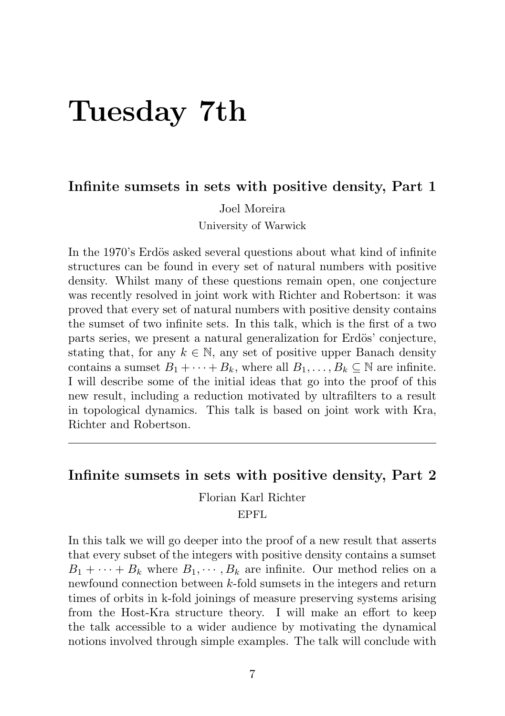# <span id="page-6-0"></span>Tuesday 7th

#### Infinite sumsets in sets with positive density, Part 1

Joel Moreira University of Warwick

In the 1970's Erdös asked several questions about what kind of infinite structures can be found in every set of natural numbers with positive density. Whilst many of these questions remain open, one conjecture was recently resolved in joint work with Richter and Robertson: it was proved that every set of natural numbers with positive density contains the sumset of two infinite sets. In this talk, which is the first of a two parts series, we present a natural generalization for Erdös' conjecture, stating that, for any  $k \in \mathbb{N}$ , any set of positive upper Banach density contains a sumset  $B_1 + \cdots + B_k$ , where all  $B_1, \ldots, B_k \subseteq \mathbb{N}$  are infinite. I will describe some of the initial ideas that go into the proof of this new result, including a reduction motivated by ultrafilters to a result in topological dynamics. This talk is based on joint work with Kra, Richter and Robertson.

#### Infinite sumsets in sets with positive density, Part 2

Florian Karl Richter

EPFL

In this talk we will go deeper into the proof of a new result that asserts that every subset of the integers with positive density contains a sumset  $B_1 + \cdots + B_k$  where  $B_1, \cdots, B_k$  are infinite. Our method relies on a newfound connection between k-fold sumsets in the integers and return times of orbits in k-fold joinings of measure preserving systems arising from the Host-Kra structure theory. I will make an effort to keep the talk accessible to a wider audience by motivating the dynamical notions involved through simple examples. The talk will conclude with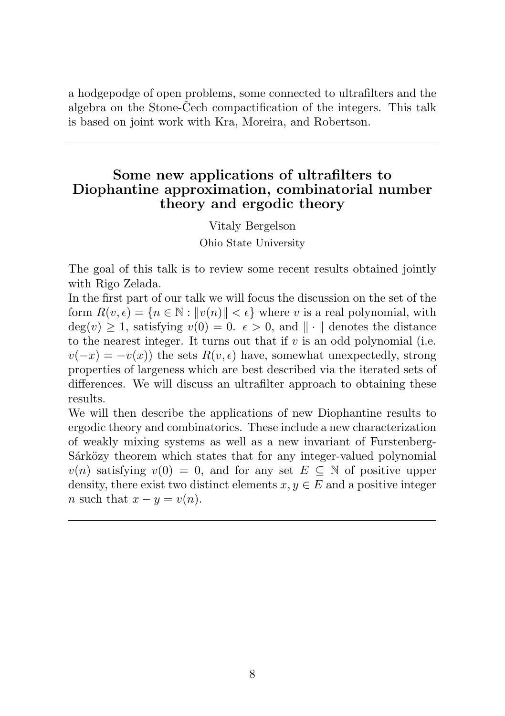<span id="page-7-0"></span>a hodgepodge of open problems, some connected to ultrafilters and the algebra on the Stone-Cech compactification of the integers. This talk is based on joint work with Kra, Moreira, and Robertson.

## Some new applications of ultrafilters to Diophantine approximation, combinatorial number theory and ergodic theory

Vitaly Bergelson Ohio State University

The goal of this talk is to review some recent results obtained jointly with Rigo Zelada.

In the first part of our talk we will focus the discussion on the set of the form  $R(v, \epsilon) = \{n \in \mathbb{N} : ||v(n)|| < \epsilon\}$  where v is a real polynomial, with  $deg(v) \geq 1$ , satisfying  $v(0) = 0$ .  $\epsilon > 0$ , and  $\|\cdot\|$  denotes the distance to the nearest integer. It turns out that if  $v$  is an odd polynomial (i.e.  $v(-x) = -v(x)$  the sets  $R(v, \epsilon)$  have, somewhat unexpectedly, strong properties of largeness which are best described via the iterated sets of differences. We will discuss an ultrafilter approach to obtaining these results.

We will then describe the applications of new Diophantine results to ergodic theory and combinatorics. These include a new characterization of weakly mixing systems as well as a new invariant of Furstenberg-Sarközy theorem which states that for any integer-valued polynomial  $v(n)$  satisfying  $v(0) = 0$ , and for any set  $E \subseteq \mathbb{N}$  of positive upper density, there exist two distinct elements  $x, y \in E$  and a positive integer n such that  $x - y = v(n)$ .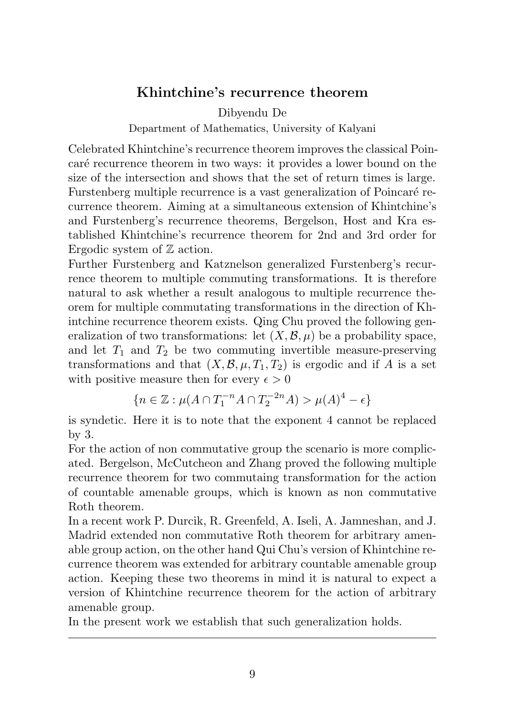#### <span id="page-8-0"></span>Khintchine's recurrence theorem

Dibyendu De

Department of Mathematics, University of Kalyani

Celebrated Khintchine's recurrence theorem improves the classical Poincaré recurrence theorem in two ways: it provides a lower bound on the size of the intersection and shows that the set of return times is large. Furstenberg multiple recurrence is a vast generalization of Poincaré recurrence theorem. Aiming at a simultaneous extension of Khintchine's and Furstenberg's recurrence theorems, Bergelson, Host and Kra established Khintchine's recurrence theorem for 2nd and 3rd order for Ergodic system of  $\mathbb Z$  action.

Further Furstenberg and Katznelson generalized Furstenberg's recurrence theorem to multiple commuting transformations. It is therefore natural to ask whether a result analogous to multiple recurrence theorem for multiple commutating transformations in the direction of Khintchine recurrence theorem exists. Qing Chu proved the following generalization of two transformations: let  $(X, \mathcal{B}, \mu)$  be a probability space, and let  $T_1$  and  $T_2$  be two commuting invertible measure-preserving transformations and that  $(X, \mathcal{B}, \mu, T_1, T_2)$  is ergodic and if A is a set with positive measure then for every  $\epsilon > 0$ 

$$
\{n \in \mathbb{Z} : \mu(A \cap T_1^{-n}A \cap T_2^{-2n}A) > \mu(A)^4 - \epsilon\}
$$

is syndetic. Here it is to note that the exponent 4 cannot be replaced by 3.

For the action of non commutative group the scenario is more complicated. Bergelson, McCutcheon and Zhang proved the following multiple recurrence theorem for two commutaing transformation for the action of countable amenable groups, which is known as non commutative Roth theorem.

In a recent work P. Durcik, R. Greenfeld, A. Iseli, A. Jamneshan, and J. Madrid extended non commutative Roth theorem for arbitrary amenable group action, on the other hand Qui Chu's version of Khintchine recurrence theorem was extended for arbitrary countable amenable group action. Keeping these two theorems in mind it is natural to expect a version of Khintchine recurrence theorem for the action of arbitrary amenable group.

In the present work we establish that such generalization holds.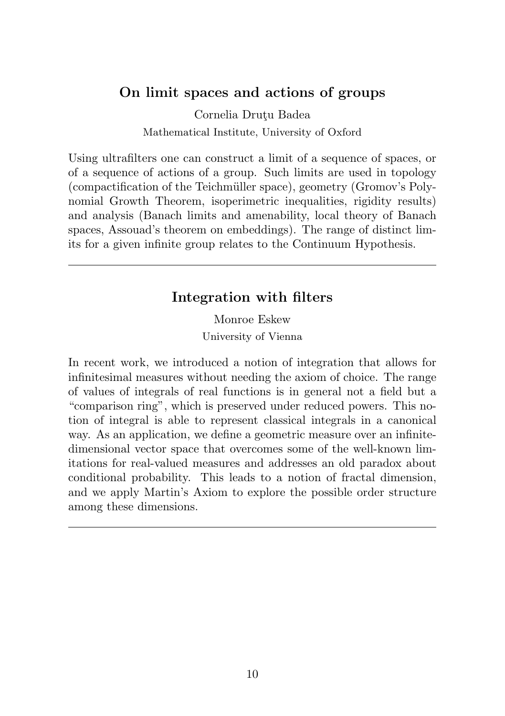## <span id="page-9-0"></span>On limit spaces and actions of groups

Cornelia Drutu Badea Mathematical Institute, University of Oxford

Using ultrafilters one can construct a limit of a sequence of spaces, or of a sequence of actions of a group. Such limits are used in topology (compactification of the Teichmüller space), geometry (Gromov's Polynomial Growth Theorem, isoperimetric inequalities, rigidity results) and analysis (Banach limits and amenability, local theory of Banach spaces, Assouad's theorem on embeddings). The range of distinct limits for a given infinite group relates to the Continuum Hypothesis.

#### Integration with filters

Monroe Eskew University of Vienna

In recent work, we introduced a notion of integration that allows for infinitesimal measures without needing the axiom of choice. The range of values of integrals of real functions is in general not a field but a "comparison ring", which is preserved under reduced powers. This notion of integral is able to represent classical integrals in a canonical way. As an application, we define a geometric measure over an infinitedimensional vector space that overcomes some of the well-known limitations for real-valued measures and addresses an old paradox about conditional probability. This leads to a notion of fractal dimension, and we apply Martin's Axiom to explore the possible order structure among these dimensions.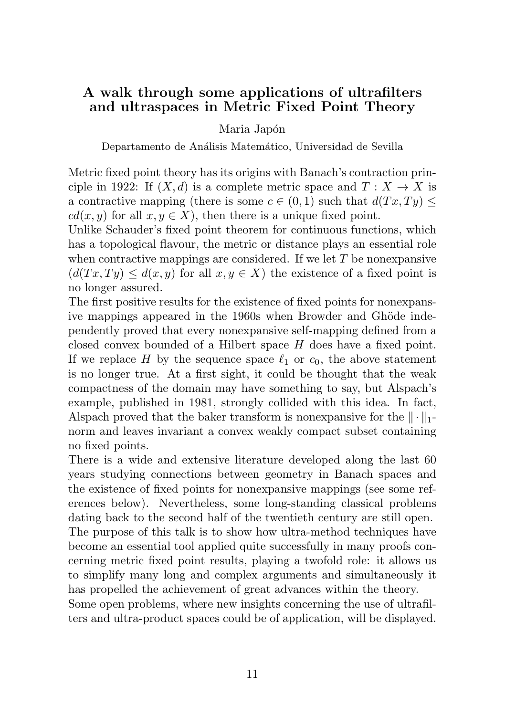### <span id="page-10-0"></span>A walk through some applications of ultrafilters and ultraspaces in Metric Fixed Point Theory

Maria Japón

Departamento de Análisis Matemático, Universidad de Sevilla

Metric fixed point theory has its origins with Banach's contraction principle in 1922: If  $(X, d)$  is a complete metric space and  $T : X \to X$  is a contractive mapping (there is some  $c \in (0, 1)$  such that  $d(Tx, Tu) \leq$  $cd(x, y)$  for all  $x, y \in X$ ), then there is a unique fixed point.

Unlike Schauder's fixed point theorem for continuous functions, which has a topological flavour, the metric or distance plays an essential role when contractive mappings are considered. If we let  $T$  be nonexpansive  $(d(Tx, Ty) \leq d(x, y)$  for all  $x, y \in X$ ) the existence of a fixed point is no longer assured.

The first positive results for the existence of fixed points for nonexpansive mappings appeared in the 1960s when Browder and Ghöde independently proved that every nonexpansive self-mapping defined from a closed convex bounded of a Hilbert space H does have a fixed point. If we replace H by the sequence space  $\ell_1$  or  $c_0$ , the above statement is no longer true. At a first sight, it could be thought that the weak compactness of the domain may have something to say, but Alspach's example, published in 1981, strongly collided with this idea. In fact, Alspach proved that the baker transform is nonexpansive for the  $\|\cdot\|_1$ norm and leaves invariant a convex weakly compact subset containing no fixed points.

There is a wide and extensive literature developed along the last 60 years studying connections between geometry in Banach spaces and the existence of fixed points for nonexpansive mappings (see some references below). Nevertheless, some long-standing classical problems dating back to the second half of the twentieth century are still open.

The purpose of this talk is to show how ultra-method techniques have become an essential tool applied quite successfully in many proofs concerning metric fixed point results, playing a twofold role: it allows us to simplify many long and complex arguments and simultaneously it has propelled the achievement of great advances within the theory.

Some open problems, where new insights concerning the use of ultrafilters and ultra-product spaces could be of application, will be displayed.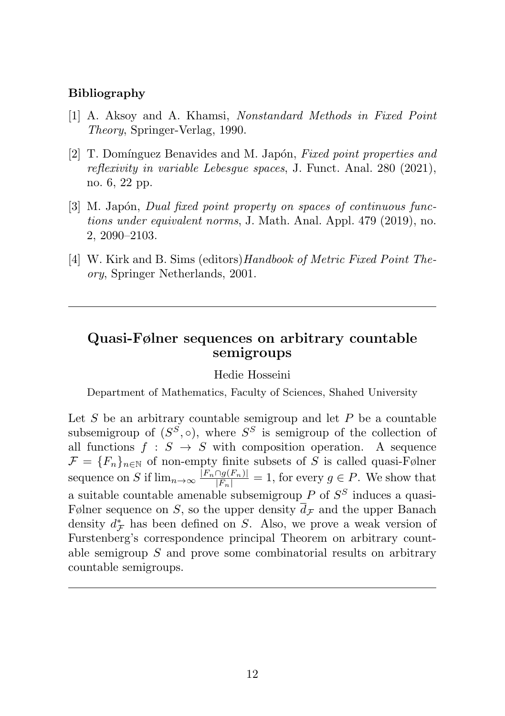#### <span id="page-11-0"></span>Bibliography

- [1] A. Aksoy and A. Khamsi, Nonstandard Methods in Fixed Point Theory, Springer-Verlag, 1990.
- [2] T. Domínguez Benavides and M. Japón, Fixed point properties and reflexivity in variable Lebesgue spaces, J. Funct. Anal. 280 (2021), no. 6, 22 pp.
- [3] M. Japón, *Dual fixed point property on spaces of continuous func*tions under equivalent norms, J. Math. Anal. Appl. 479 (2019), no. 2, 2090–2103.
- [4] W. Kirk and B. Sims (editors) Handbook of Metric Fixed Point Theory, Springer Netherlands, 2001.

## Quasi-Følner sequences on arbitrary countable semigroups

#### Hedie Hosseini

Department of Mathematics, Faculty of Sciences, Shahed University

Let  $S$  be an arbitrary countable semigroup and let  $P$  be a countable subsemigroup of  $(S^S, \circ)$ , where  $S^S$  is semigroup of the collection of all functions  $f : S \rightarrow S$  with composition operation. A sequence  $\mathcal{F} = \{F_n\}_{n \in \mathbb{N}}$  of non-empty finite subsets of S is called quasi-Følner sequence on S if  $\lim_{n\to\infty} \frac{|F_n \cap g(F_n)|}{|F_n|} = 1$ , for every  $g \in P$ . We show that a suitable countable amenable subsemigroup  $P$  of  $S^S$  induces a quasi-Følner sequence on S, so the upper density  $\bar{d}_{\mathcal{F}}$  and the upper Banach density  $d^*_{\mathcal{F}}$  has been defined on S. Also, we prove a weak version of Furstenberg's correspondence principal Theorem on arbitrary countable semigroup S and prove some combinatorial results on arbitrary countable semigroups.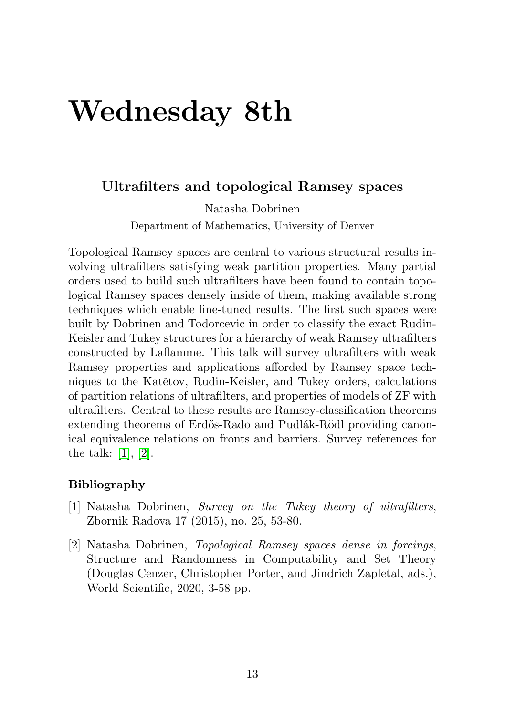# <span id="page-12-2"></span>Wednesday 8th

### Ultrafilters and topological Ramsey spaces

Natasha Dobrinen

Department of Mathematics, University of Denver

Topological Ramsey spaces are central to various structural results involving ultrafilters satisfying weak partition properties. Many partial orders used to build such ultrafilters have been found to contain topological Ramsey spaces densely inside of them, making available strong techniques which enable fine-tuned results. The first such spaces were built by Dobrinen and Todorcevic in order to classify the exact Rudin-Keisler and Tukey structures for a hierarchy of weak Ramsey ultrafilters constructed by Laflamme. This talk will survey ultrafilters with weak Ramsey properties and applications afforded by Ramsey space techniques to the Katětov, Rudin-Keisler, and Tukey orders, calculations of partition relations of ultrafilters, and properties of models of ZF with ultrafilters. Central to these results are Ramsey-classification theorems extending theorems of Erdős-Rado and Pudlák-Rödl providing canonical equivalence relations on fronts and barriers. Survey references for the talk: [\[1\]](#page-12-0), [\[2\]](#page-12-1).

#### Bibliography

- <span id="page-12-0"></span>[1] Natasha Dobrinen, Survey on the Tukey theory of ultrafilters, Zbornik Radova 17 (2015), no. 25, 53-80.
- <span id="page-12-1"></span>[2] Natasha Dobrinen, Topological Ramsey spaces dense in forcings, Structure and Randomness in Computability and Set Theory (Douglas Cenzer, Christopher Porter, and Jindrich Zapletal, ads.), World Scientific, 2020, 3-58 pp.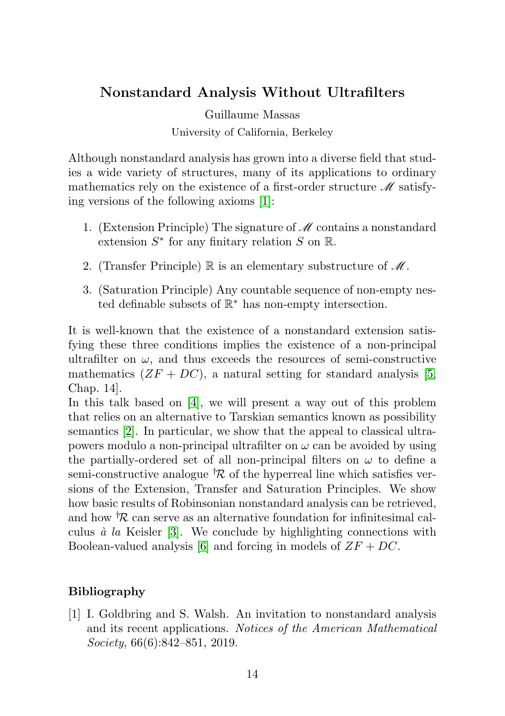# <span id="page-13-1"></span>Nonstandard Analysis Without Ultrafilters

Guillaume Massas University of California, Berkeley

Although nonstandard analysis has grown into a diverse field that studies a wide variety of structures, many of its applications to ordinary mathematics rely on the existence of a first-order structure  $\mathcal M$  satisfying versions of the following axioms [\[1\]](#page-13-0):

- 1. (Extension Principle) The signature of  $\mathcal M$  contains a nonstandard extension  $S^*$  for any finitary relation S on R.
- 2. (Transfer Principle)  $\mathbb R$  is an elementary substructure of  $\mathscr M$ .
- 3. (Saturation Principle) Any countable sequence of non-empty nested definable subsets of  $\mathbb{R}^*$  has non-empty intersection.

It is well-known that the existence of a nonstandard extension satisfying these three conditions implies the existence of a non-principal ultrafilter on  $\omega$ , and thus exceeds the resources of semi-constructive mathematics  $(ZF + DC)$ , a natural setting for standard analysis [\[5,](#page-14-0) Chap. 14].

In this talk based on [\[4\]](#page-14-1), we will present a way out of this problem that relies on an alternative to Tarskian semantics known as possibility semantics [\[2\]](#page-14-2). In particular, we show that the appeal to classical ultrapowers modulo a non-principal ultrafilter on  $\omega$  can be avoided by using the partially-ordered set of all non-principal filters on  $\omega$  to define a semi-constructive analogue  $\mathcal{R}$  of the hyperreal line which satisfies versions of the Extension, Transfer and Saturation Principles. We show how basic results of Robinsonian nonstandard analysis can be retrieved, and how  $R$  can serve as an alternative foundation for infinitesimal calculus  $\dot{a}$  la Keisler [\[3\]](#page-14-3). We conclude by highlighting connections with Boolean-valued analysis [\[6\]](#page-14-4) and forcing in models of  $ZF + DC$ .

#### Bibliography

<span id="page-13-0"></span>[1] I. Goldbring and S. Walsh. An invitation to nonstandard analysis and its recent applications. Notices of the American Mathematical Society, 66(6):842–851, 2019.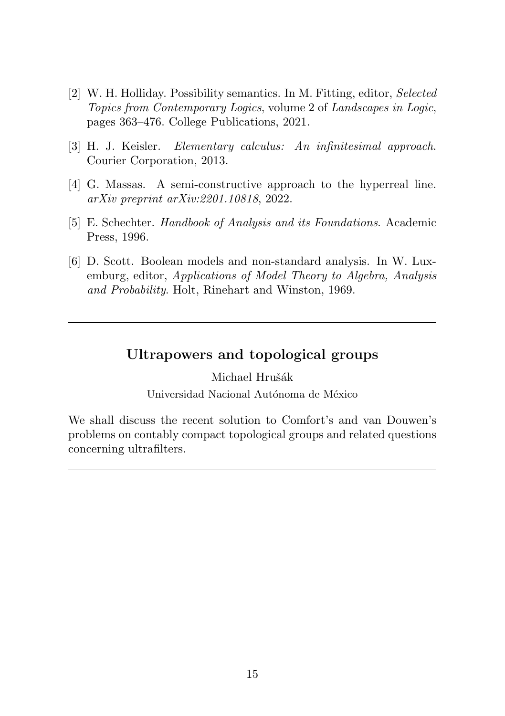- <span id="page-14-5"></span><span id="page-14-2"></span>[2] W. H. Holliday. Possibility semantics. In M. Fitting, editor, Selected Topics from Contemporary Logics, volume 2 of Landscapes in Logic, pages 363–476. College Publications, 2021.
- <span id="page-14-3"></span>[3] H. J. Keisler. Elementary calculus: An infinitesimal approach. Courier Corporation, 2013.
- <span id="page-14-1"></span>[4] G. Massas. A semi-constructive approach to the hyperreal line. arXiv preprint arXiv:2201.10818, 2022.
- <span id="page-14-0"></span>[5] E. Schechter. Handbook of Analysis and its Foundations. Academic Press, 1996.
- <span id="page-14-4"></span>[6] D. Scott. Boolean models and non-standard analysis. In W. Luxemburg, editor, Applications of Model Theory to Algebra, Analysis and Probability. Holt, Rinehart and Winston, 1969.

## Ultrapowers and topological groups

Michael Hrušák

Universidad Nacional Autónoma de México

We shall discuss the recent solution to Comfort's and van Douwen's problems on contably compact topological groups and related questions concerning ultrafilters.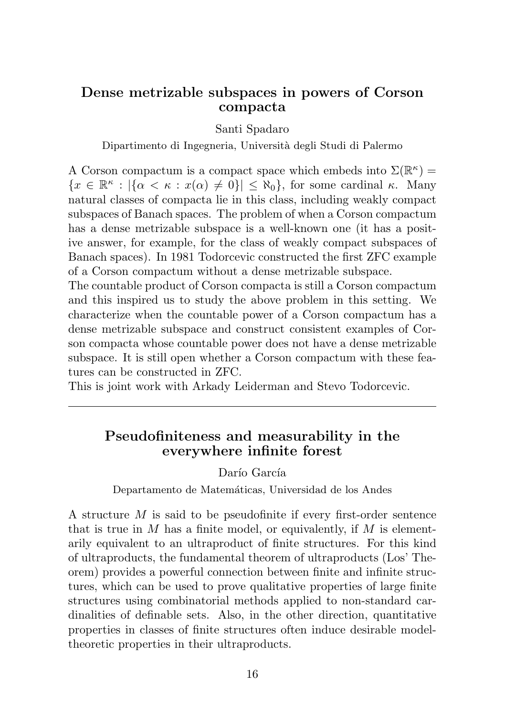### <span id="page-15-0"></span>Dense metrizable subspaces in powers of Corson compacta

Santi Spadaro

Dipartimento di Ingegneria, Universit`a degli Studi di Palermo

A Corson compactum is a compact space which embeds into  $\Sigma(\mathbb{R}^k)$  =  ${x \in \mathbb{R}^{\kappa} : |\{\alpha < \kappa : x(\alpha) \neq 0\}| \leq \aleph_0},$  for some cardinal  $\kappa$ . Many natural classes of compacta lie in this class, including weakly compact subspaces of Banach spaces. The problem of when a Corson compactum has a dense metrizable subspace is a well-known one (it has a positive answer, for example, for the class of weakly compact subspaces of Banach spaces). In 1981 Todorcevic constructed the first ZFC example of a Corson compactum without a dense metrizable subspace.

The countable product of Corson compacta is still a Corson compactum and this inspired us to study the above problem in this setting. We characterize when the countable power of a Corson compactum has a dense metrizable subspace and construct consistent examples of Corson compacta whose countable power does not have a dense metrizable subspace. It is still open whether a Corson compactum with these features can be constructed in ZFC.

This is joint work with Arkady Leiderman and Stevo Todorcevic.

## Pseudofiniteness and measurability in the everywhere infinite forest

Darío García

Departamento de Matemáticas, Universidad de los Andes

A structure M is said to be pseudofinite if every first-order sentence that is true in  $M$  has a finite model, or equivalently, if  $M$  is elementarily equivalent to an ultraproduct of finite structures. For this kind of ultraproducts, the fundamental theorem of ultraproducts (Los' Theorem) provides a powerful connection between finite and infinite structures, which can be used to prove qualitative properties of large finite structures using combinatorial methods applied to non-standard cardinalities of definable sets. Also, in the other direction, quantitative properties in classes of finite structures often induce desirable modeltheoretic properties in their ultraproducts.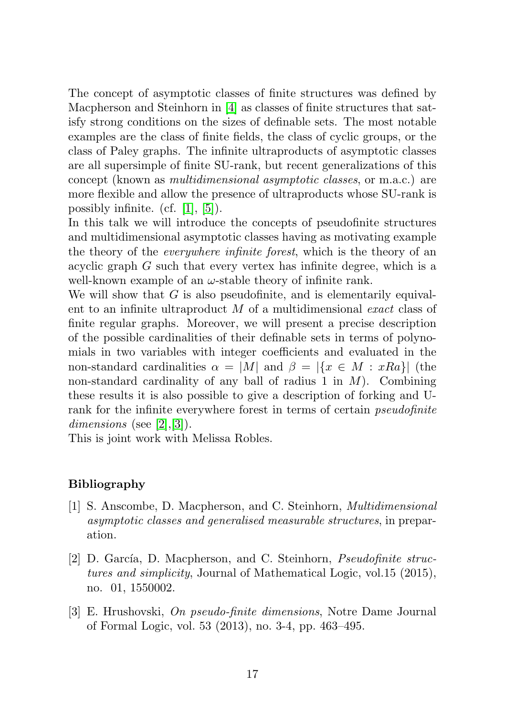The concept of asymptotic classes of finite structures was defined by Macpherson and Steinhorn in [\[4\]](#page-17-0) as classes of finite structures that satisfy strong conditions on the sizes of definable sets. The most notable examples are the class of finite fields, the class of cyclic groups, or the class of Paley graphs. The infinite ultraproducts of asymptotic classes are all supersimple of finite SU-rank, but recent generalizations of this concept (known as multidimensional asymptotic classes, or m.a.c.) are more flexible and allow the presence of ultraproducts whose SU-rank is possibly infinite. (cf. [\[1\]](#page-16-0), [\[5\]](#page-17-1)).

In this talk we will introduce the concepts of pseudofinite structures and multidimensional asymptotic classes having as motivating example the theory of the everywhere infinite forest, which is the theory of an acyclic graph G such that every vertex has infinite degree, which is a well-known example of an  $\omega$ -stable theory of infinite rank.

We will show that  $G$  is also pseudofinite, and is elementarily equivalent to an infinite ultraproduct  $M$  of a multidimensional exact class of finite regular graphs. Moreover, we will present a precise description of the possible cardinalities of their definable sets in terms of polynomials in two variables with integer coefficients and evaluated in the non-standard cardinalities  $\alpha = |M|$  and  $\beta = |\{x \in M : xRa\}|$  (the non-standard cardinality of any ball of radius 1 in  $M$ ). Combining these results it is also possible to give a description of forking and Urank for the infinite everywhere forest in terms of certain pseudofinite dimensions (see [\[2\]](#page-16-1), [\[3\]](#page-16-2)).

This is joint work with Melissa Robles.

#### Bibliography

- <span id="page-16-0"></span>[1] S. Anscombe, D. Macpherson, and C. Steinhorn, Multidimensional asymptotic classes and generalised measurable structures, in preparation.
- <span id="page-16-1"></span>[2] D. García, D. Macpherson, and C. Steinhorn, *Pseudofinite struc*tures and simplicity, Journal of Mathematical Logic, vol.15 (2015), no. 01, 1550002.
- <span id="page-16-2"></span>[3] E. Hrushovski, On pseudo-finite dimensions, Notre Dame Journal of Formal Logic, vol. 53 (2013), no. 3-4, pp. 463–495.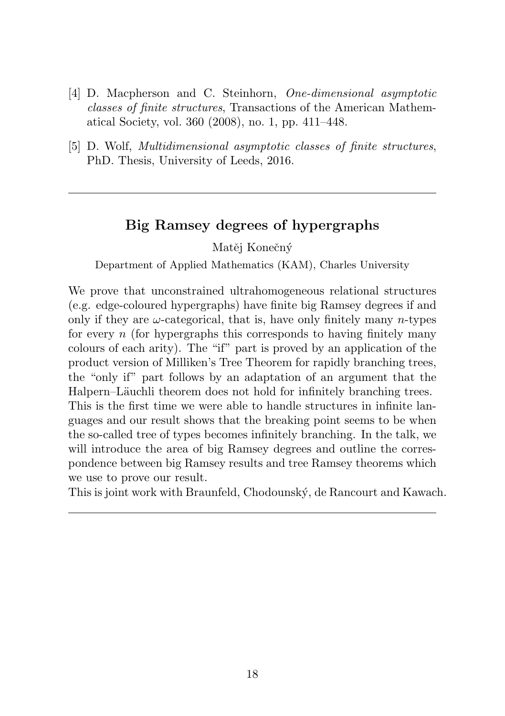- <span id="page-17-2"></span><span id="page-17-0"></span>[4] D. Macpherson and C. Steinhorn, One-dimensional asymptotic classes of finite structures, Transactions of the American Mathematical Society, vol. 360 (2008), no. 1, pp. 411–448.
- <span id="page-17-1"></span>[5] D. Wolf, Multidimensional asymptotic classes of finite structures, PhD. Thesis, University of Leeds, 2016.

## Big Ramsey degrees of hypergraphs

Matěj Konečný

Department of Applied Mathematics (KAM), Charles University

We prove that unconstrained ultrahomogeneous relational structures (e.g. edge-coloured hypergraphs) have finite big Ramsey degrees if and only if they are  $\omega$ -categorical, that is, have only finitely many *n*-types for every  $n$  (for hypergraphs this corresponds to having finitely many colours of each arity). The "if" part is proved by an application of the product version of Milliken's Tree Theorem for rapidly branching trees, the "only if" part follows by an adaptation of an argument that the Halpern–Läuchli theorem does not hold for infinitely branching trees. This is the first time we were able to handle structures in infinite languages and our result shows that the breaking point seems to be when the so-called tree of types becomes infinitely branching. In the talk, we will introduce the area of big Ramsey degrees and outline the correspondence between big Ramsey results and tree Ramsey theorems which we use to prove our result.

This is joint work with Braunfeld, Chodounský, de Rancourt and Kawach.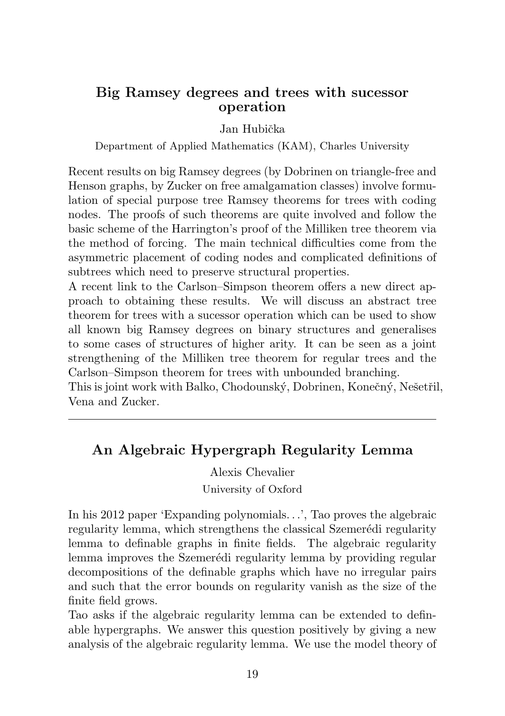### <span id="page-18-0"></span>Big Ramsey degrees and trees with sucessor operation

Jan Hubička

Department of Applied Mathematics (KAM), Charles University

Recent results on big Ramsey degrees (by Dobrinen on triangle-free and Henson graphs, by Zucker on free amalgamation classes) involve formulation of special purpose tree Ramsey theorems for trees with coding nodes. The proofs of such theorems are quite involved and follow the basic scheme of the Harrington's proof of the Milliken tree theorem via the method of forcing. The main technical difficulties come from the asymmetric placement of coding nodes and complicated definitions of subtrees which need to preserve structural properties.

A recent link to the Carlson–Simpson theorem offers a new direct approach to obtaining these results. We will discuss an abstract tree theorem for trees with a sucessor operation which can be used to show all known big Ramsey degrees on binary structures and generalises to some cases of structures of higher arity. It can be seen as a joint strengthening of the Milliken tree theorem for regular trees and the Carlson–Simpson theorem for trees with unbounded branching.

This is joint work with Balko, Chodounský, Dobrinen, Konečný, Nešetřil, Vena and Zucker.

# An Algebraic Hypergraph Regularity Lemma

Alexis Chevalier University of Oxford

In his 2012 paper 'Expanding polynomials. . .', Tao proves the algebraic regularity lemma, which strengthens the classical Szemerédi regularity lemma to definable graphs in finite fields. The algebraic regularity lemma improves the Szemerédi regularity lemma by providing regular decompositions of the definable graphs which have no irregular pairs and such that the error bounds on regularity vanish as the size of the finite field grows.

Tao asks if the algebraic regularity lemma can be extended to definable hypergraphs. We answer this question positively by giving a new analysis of the algebraic regularity lemma. We use the model theory of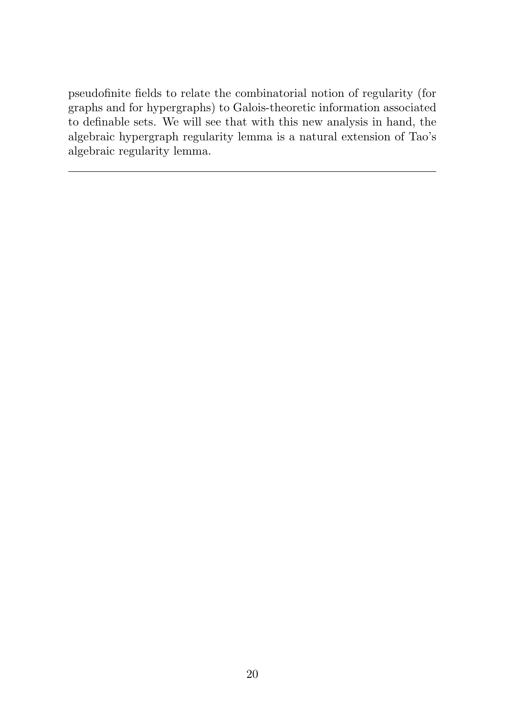pseudofinite fields to relate the combinatorial notion of regularity (for graphs and for hypergraphs) to Galois-theoretic information associated to definable sets. We will see that with this new analysis in hand, the algebraic hypergraph regularity lemma is a natural extension of Tao's algebraic regularity lemma.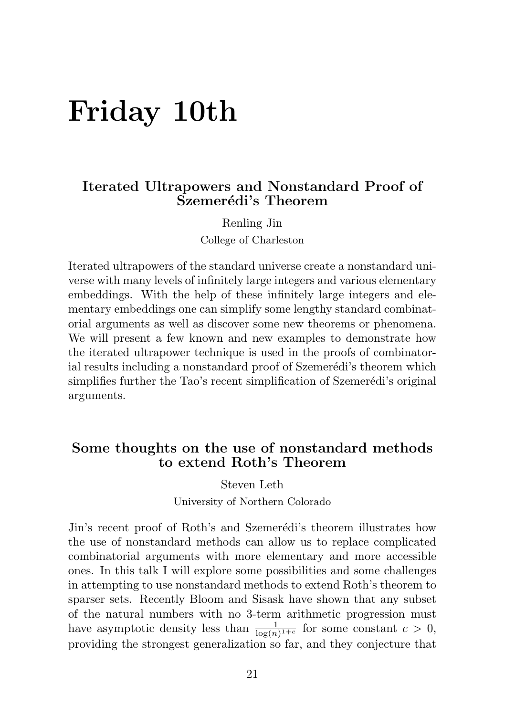# <span id="page-20-0"></span>Friday 10th

### Iterated Ultrapowers and Nonstandard Proof of Szemerédi's Theorem

Renling Jin College of Charleston

Iterated ultrapowers of the standard universe create a nonstandard universe with many levels of infinitely large integers and various elementary embeddings. With the help of these infinitely large integers and elementary embeddings one can simplify some lengthy standard combinatorial arguments as well as discover some new theorems or phenomena. We will present a few known and new examples to demonstrate how the iterated ultrapower technique is used in the proofs of combinatorial results including a nonstandard proof of Szemerédi's theorem which simplifies further the Tao's recent simplification of Szemerédi's original arguments.

# Some thoughts on the use of nonstandard methods to extend Roth's Theorem

Steven Leth

University of Northern Colorado

Jin's recent proof of Roth's and Szemerédi's theorem illustrates how the use of nonstandard methods can allow us to replace complicated combinatorial arguments with more elementary and more accessible ones. In this talk I will explore some possibilities and some challenges in attempting to use nonstandard methods to extend Roth's theorem to sparser sets. Recently Bloom and Sisask have shown that any subset of the natural numbers with no 3-term arithmetic progression must have asymptotic density less than  $\frac{1}{\log(n)^{1+c}}$  for some constant  $c > 0$ , providing the strongest generalization so far, and they conjecture that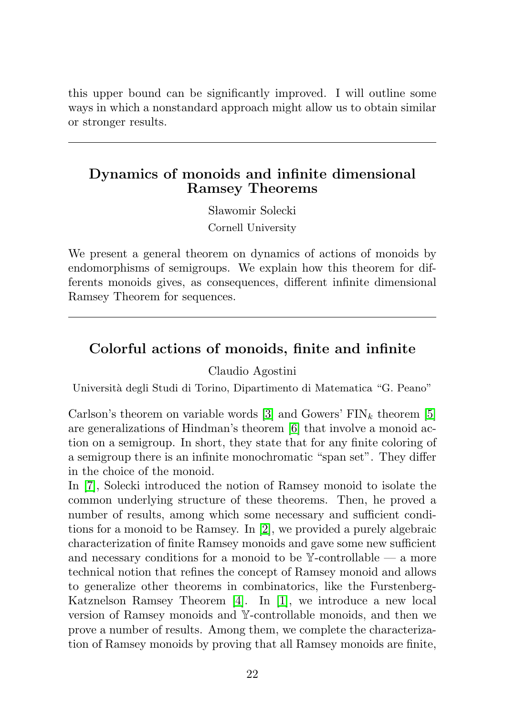<span id="page-21-0"></span>this upper bound can be significantly improved. I will outline some ways in which a nonstandard approach might allow us to obtain similar or stronger results.

## Dynamics of monoids and infinite dimensional Ramsey Theorems

Sławomir Solecki Cornell University

We present a general theorem on dynamics of actions of monoids by endomorphisms of semigroups. We explain how this theorem for differents monoids gives, as consequences, different infinite dimensional Ramsey Theorem for sequences.

## Colorful actions of monoids, finite and infinite

#### Claudio Agostini

Universit`a degli Studi di Torino, Dipartimento di Matematica "G. Peano"

Carlson's theorem on variable words [\[3\]](#page-22-0) and Gowers'  $\text{FIN}_k$  theorem [\[5\]](#page-22-1) are generalizations of Hindman's theorem [\[6\]](#page-22-2) that involve a monoid action on a semigroup. In short, they state that for any finite coloring of a semigroup there is an infinite monochromatic "span set". They differ in the choice of the monoid.

In [\[7\]](#page-22-3), Solecki introduced the notion of Ramsey monoid to isolate the common underlying structure of these theorems. Then, he proved a number of results, among which some necessary and sufficient conditions for a monoid to be Ramsey. In [\[2\]](#page-22-4), we provided a purely algebraic characterization of finite Ramsey monoids and gave some new sufficient and necessary conditions for a monoid to be  $\mathbb{Y}$ -controllable — a more technical notion that refines the concept of Ramsey monoid and allows to generalize other theorems in combinatorics, like the Furstenberg-Katznelson Ramsey Theorem [\[4\]](#page-22-5). In [\[1\]](#page-22-6), we introduce a new local version of Ramsey monoids and Y-controllable monoids, and then we prove a number of results. Among them, we complete the characterization of Ramsey monoids by proving that all Ramsey monoids are finite,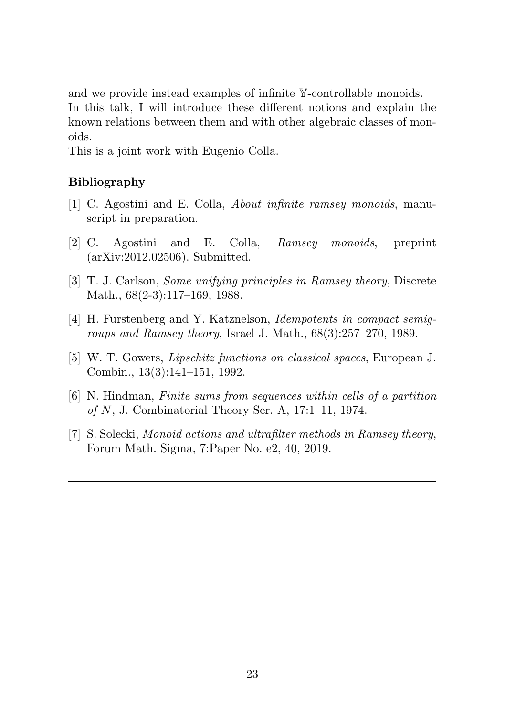and we provide instead examples of infinite Y-controllable monoids. In this talk, I will introduce these different notions and explain the known relations between them and with other algebraic classes of monoids.

This is a joint work with Eugenio Colla.

#### Bibliography

- <span id="page-22-6"></span>[1] C. Agostini and E. Colla, About infinite ramsey monoids, manuscript in preparation.
- <span id="page-22-4"></span>[2] C. Agostini and E. Colla, Ramsey monoids, preprint (arXiv:2012.02506). Submitted.
- <span id="page-22-0"></span>[3] T. J. Carlson, Some unifying principles in Ramsey theory, Discrete Math., 68(2-3):117–169, 1988.
- <span id="page-22-5"></span>[4] H. Furstenberg and Y. Katznelson, Idempotents in compact semigroups and Ramsey theory, Israel J. Math., 68(3):257–270, 1989.
- <span id="page-22-1"></span>[5] W. T. Gowers, Lipschitz functions on classical spaces, European J. Combin., 13(3):141–151, 1992.
- <span id="page-22-2"></span>[6] N. Hindman, Finite sums from sequences within cells of a partition of  $N$ , J. Combinatorial Theory Ser. A, 17:1–11, 1974.
- <span id="page-22-3"></span>[7] S. Solecki, Monoid actions and ultrafilter methods in Ramsey theory, Forum Math. Sigma, 7:Paper No. e2, 40, 2019.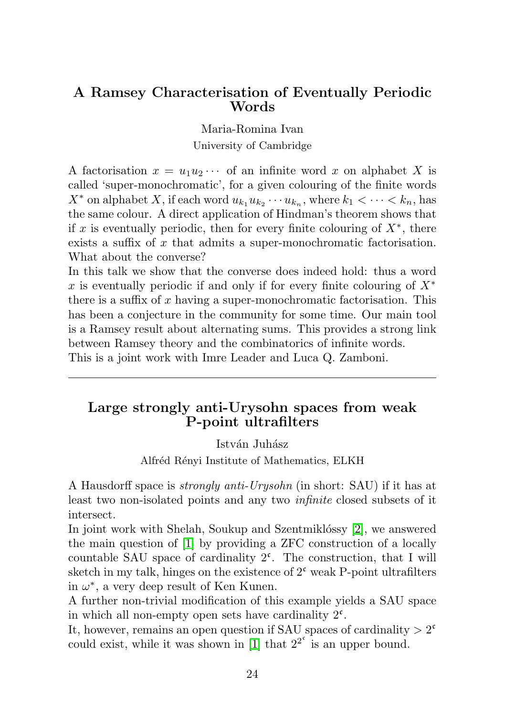#### <span id="page-23-0"></span>A Ramsey Characterisation of Eventually Periodic Words

Maria-Romina Ivan

University of Cambridge

A factorisation  $x = u_1 u_2 \cdots$  of an infinite word x on alphabet X is called 'super-monochromatic', for a given colouring of the finite words  $X^*$  on alphabet X, if each word  $u_{k_1} u_{k_2} \cdots u_{k_n}$ , where  $k_1 < \cdots < k_n$ , has the same colour. A direct application of Hindman's theorem shows that if x is eventually periodic, then for every finite colouring of  $X^*$ , there exists a suffix of x that admits a super-monochromatic factorisation. What about the converse?

In this talk we show that the converse does indeed hold: thus a word x is eventually periodic if and only if for every finite colouring of  $X^*$ there is a suffix of x having a super-monochromatic factorisation. This has been a conjecture in the community for some time. Our main tool is a Ramsey result about alternating sums. This provides a strong link between Ramsey theory and the combinatorics of infinite words. This is a joint work with Imre Leader and Luca Q. Zamboni.

## Large strongly anti-Urysohn spaces from weak P-point ultrafilters

István Juhász

Alfréd Rényi Institute of Mathematics, ELKH

A Hausdorff space is strongly anti-Urysohn (in short: SAU) if it has at least two non-isolated points and any two infinite closed subsets of it intersect.

In joint work with Shelah, Soukup and Szentmiklóssy [\[2\]](#page-24-0), we answered the main question of [\[1\]](#page-24-1) by providing a ZFC construction of a locally countable SAU space of cardinality  $2^c$ . The construction, that I will sketch in my talk, hinges on the existence of  $2^{\mathfrak{c}}$  weak P-point ultrafilters in  $\omega^*$ , a very deep result of Ken Kunen.

A further non-trivial modification of this example yields a SAU space in which all non-empty open sets have cardinality  $2^c$ .

It, however, remains an open question if SAU spaces of cardinality  $> 2<sup>c</sup>$ could exist, while it was shown in [\[1\]](#page-24-1) that  $2^{2^c}$  is an upper bound.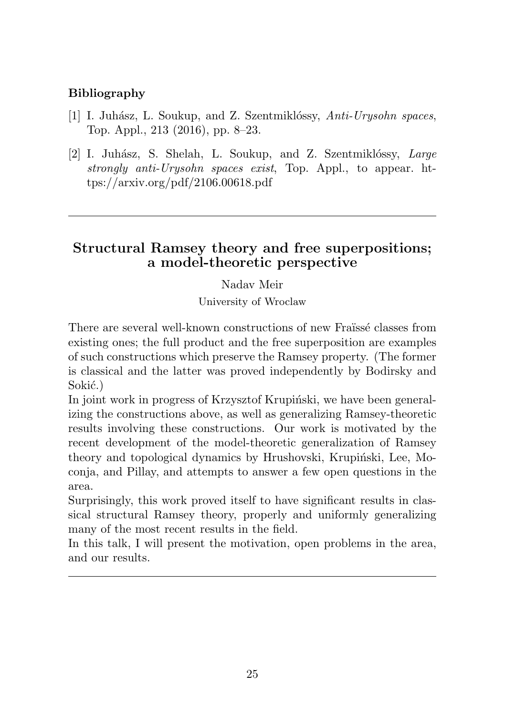### <span id="page-24-2"></span>Bibliography

- <span id="page-24-1"></span>[1] I. Juhász, L. Soukup, and Z. Szentmiklóssy, Anti-Urysohn spaces, Top. Appl., 213 (2016), pp. 8–23.
- <span id="page-24-0"></span>[2] I. Juhász, S. Shelah, L. Soukup, and Z. Szentmiklóssy,  $Large$ strongly anti-Urysohn spaces exist, Top. Appl., to appear. https://arxiv.org/pdf/2106.00618.pdf

## Structural Ramsey theory and free superpositions; a model-theoretic perspective

Nadav Meir

University of Wroclaw

There are several well-known constructions of new Fraïssé classes from existing ones; the full product and the free superposition are examples of such constructions which preserve the Ramsey property. (The former is classical and the latter was proved independently by Bodirsky and Sokić.)

In joint work in progress of Krzysztof Krupiński, we have been generalizing the constructions above, as well as generalizing Ramsey-theoretic results involving these constructions. Our work is motivated by the recent development of the model-theoretic generalization of Ramsey theory and topological dynamics by Hrushovski, Krupiński, Lee, Moconja, and Pillay, and attempts to answer a few open questions in the area.

Surprisingly, this work proved itself to have significant results in classical structural Ramsey theory, properly and uniformly generalizing many of the most recent results in the field.

In this talk, I will present the motivation, open problems in the area, and our results.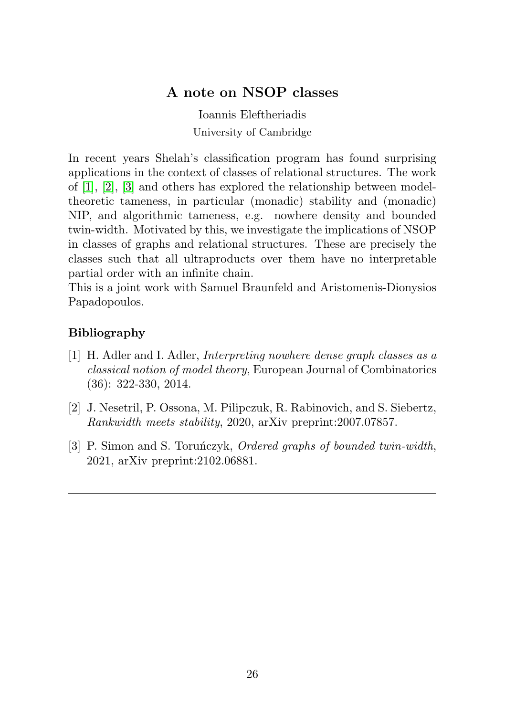# A note on NSOP classes

Ioannis Eleftheriadis University of Cambridge

<span id="page-25-3"></span>In recent years Shelah's classification program has found surprising applications in the context of classes of relational structures. The work of [\[1\]](#page-25-0), [\[2\]](#page-25-1), [\[3\]](#page-25-2) and others has explored the relationship between modeltheoretic tameness, in particular (monadic) stability and (monadic) NIP, and algorithmic tameness, e.g. nowhere density and bounded twin-width. Motivated by this, we investigate the implications of NSOP in classes of graphs and relational structures. These are precisely the classes such that all ultraproducts over them have no interpretable partial order with an infinite chain.

This is a joint work with Samuel Braunfeld and Aristomenis-Dionysios Papadopoulos.

## Bibliography

- <span id="page-25-0"></span>[1] H. Adler and I. Adler, Interpreting nowhere dense graph classes as a classical notion of model theory, European Journal of Combinatorics (36): 322-330, 2014.
- <span id="page-25-1"></span>[2] J. Nesetril, P. Ossona, M. Pilipczuk, R. Rabinovich, and S. Siebertz, Rankwidth meets stability, 2020, arXiv preprint:2007.07857.
- <span id="page-25-2"></span>[3] P. Simon and S. Torunczyk, *Ordered graphs of bounded twin-width*, 2021, arXiv preprint:2102.06881.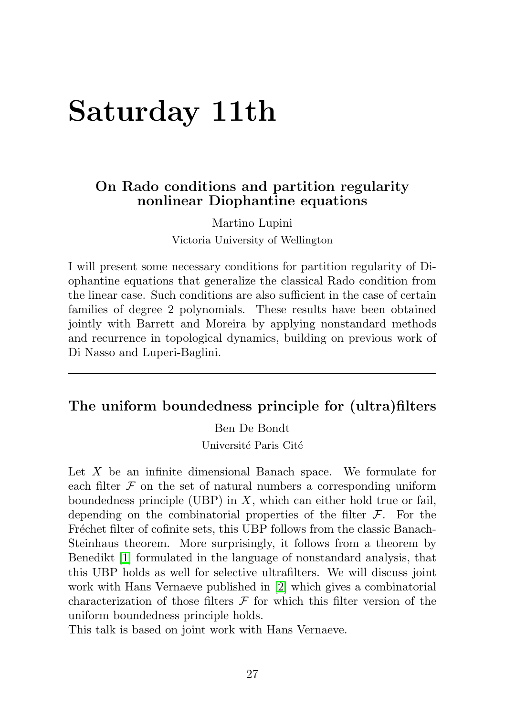# <span id="page-26-0"></span>Saturday 11th

### On Rado conditions and partition regularity nonlinear Diophantine equations

Martino Lupini Victoria University of Wellington

I will present some necessary conditions for partition regularity of Diophantine equations that generalize the classical Rado condition from the linear case. Such conditions are also sufficient in the case of certain families of degree 2 polynomials. These results have been obtained jointly with Barrett and Moreira by applying nonstandard methods and recurrence in topological dynamics, building on previous work of Di Nasso and Luperi-Baglini.

#### The uniform boundedness principle for (ultra)filters

Ben De Bondt

Université Paris Cité

Let  $X$  be an infinite dimensional Banach space. We formulate for each filter  $\mathcal F$  on the set of natural numbers a corresponding uniform boundedness principle (UBP) in  $X$ , which can either hold true or fail, depending on the combinatorial properties of the filter  $\mathcal{F}$ . For the Fréchet filter of cofinite sets, this UBP follows from the classic Banach-Steinhaus theorem. More surprisingly, it follows from a theorem by Benedikt [\[1\]](#page-27-0) formulated in the language of nonstandard analysis, that this UBP holds as well for selective ultrafilters. We will discuss joint work with Hans Vernaeve published in [\[2\]](#page-27-1) which gives a combinatorial characterization of those filters  $\mathcal F$  for which this filter version of the uniform boundedness principle holds.

This talk is based on joint work with Hans Vernaeve.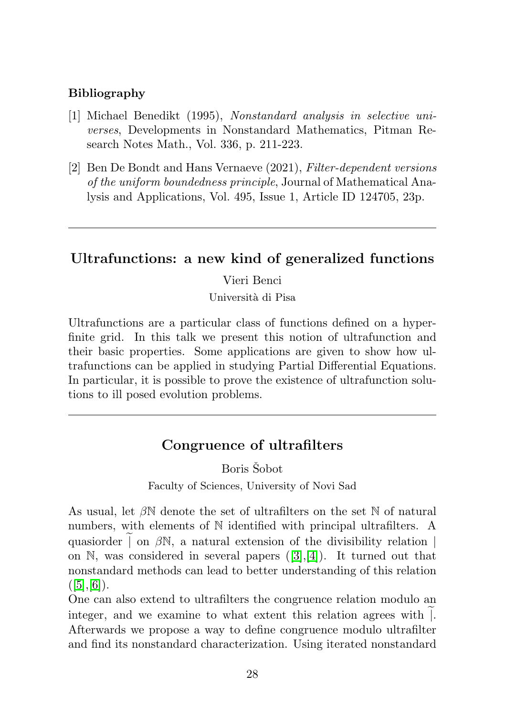#### <span id="page-27-2"></span>Bibliography

- <span id="page-27-0"></span>[1] Michael Benedikt (1995), Nonstandard analysis in selective universes, Developments in Nonstandard Mathematics, Pitman Research Notes Math., Vol. 336, p. 211-223.
- <span id="page-27-1"></span>[2] Ben De Bondt and Hans Vernaeve (2021), Filter-dependent versions of the uniform boundedness principle, Journal of Mathematical Analysis and Applications, Vol. 495, Issue 1, Article ID 124705, 23p.

## Ultrafunctions: a new kind of generalized functions

#### Vieri Benci

Universit`a di Pisa

Ultrafunctions are a particular class of functions defined on a hyperfinite grid. In this talk we present this notion of ultrafunction and their basic properties. Some applications are given to show how ultrafunctions can be applied in studying Partial Differential Equations. In particular, it is possible to prove the existence of ultrafunction solutions to ill posed evolution problems.

# Congruence of ultrafilters

Boris Šobot

Faculty of Sciences, University of Novi Sad

As usual, let  $\beta\mathbb{N}$  denote the set of ultrafilters on the set  $\mathbb N$  of natural numbers, with elements of N identified with principal ultrafilters. A quasiorder  $\sim$  6  $\mu$   $\sim$  6  $\mu$  and  $\mu$  extension of the divisibility relation | on N, was considered in several papers ([\[3\]](#page-28-0),[\[4\]](#page-28-1)). It turned out that nonstandard methods can lead to better understanding of this relation  $([5],[6])$  $([5],[6])$  $([5],[6])$  $([5],[6])$  $([5],[6])$ .

One can also extend to ultrafilters the congruence relation modulo an integer, and we examine to what extent this relation agrees with  $\vert$ . Afterwards we propose a way to define congruence modulo ultrafilter and find its nonstandard characterization. Using iterated nonstandard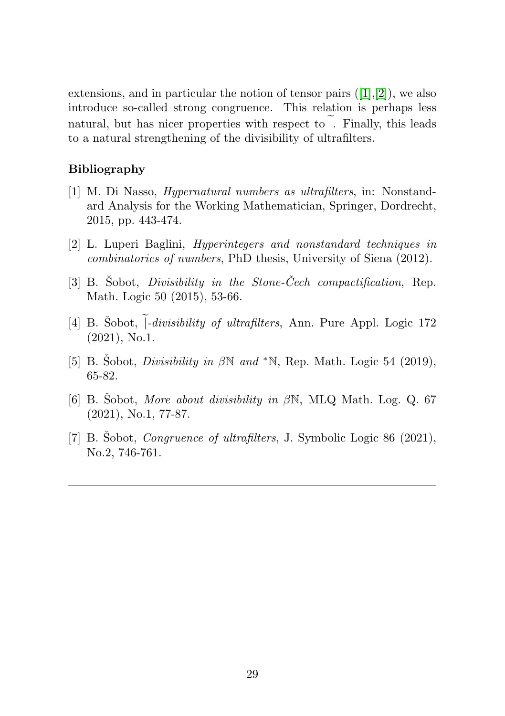extensions, and in particular the notion of tensor pairs  $([1],[2])$  $([1],[2])$  $([1],[2])$  $([1],[2])$  $([1],[2])$ , we also introduce so-called strong congruence. This relation is perhaps less natural, but has nicer properties with respect to  $\mathcal{E}$ . Finally, this leads to a natural strengthening of the divisibility of ultrafilters.

#### Bibliography

- <span id="page-28-4"></span>[1] M. Di Nasso, Hypernatural numbers as ultrafilters, in: Nonstandard Analysis for the Working Mathematician, Springer, Dordrecht, 2015, pp. 443-474.
- <span id="page-28-5"></span>[2] L. Luperi Baglini, Hyperintegers and nonstandard techniques in combinatorics of numbers, PhD thesis, University of Siena (2012).
- <span id="page-28-0"></span>[3] B. Sobot, *Divisibility in the Stone-Cech compactification*, Rep. Math. Logic 50 (2015), 53-66.
- <span id="page-28-1"></span>[4] B. Sobot,  $\vert$ -divisibility of ultrafilters, Ann. Pure Appl. Logic 172 (2021), No.1.
- <span id="page-28-2"></span>[5] B. Sobot, *Divisibility in*  $\beta \mathbb{N}$  and  $*\mathbb{N}$ , Rep. Math. Logic 54 (2019), 65-82.
- <span id="page-28-3"></span>[6] B. Sobot, More about divisibility in  $\beta N$ , MLQ Math. Log. Q. 67 (2021), No.1, 77-87.
- [7] B. Sobot, *Congruence of ultrafilters*, J. Symbolic Logic 86 (2021), No.2, 746-761.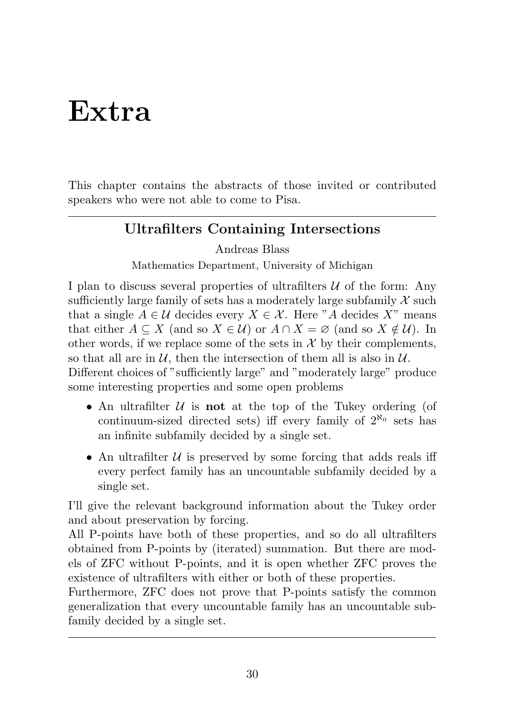# <span id="page-29-0"></span>Extra

This chapter contains the abstracts of those invited or contributed speakers who were not able to come to Pisa.

# Ultrafilters Containing Intersections

Andreas Blass

Mathematics Department, University of Michigan

I plan to discuss several properties of ultrafilters  $U$  of the form: Any sufficiently large family of sets has a moderately large subfamily  $\mathcal X$  such that a single  $A \in \mathcal{U}$  decides every  $X \in \mathcal{X}$ . Here "A decides X" means that either  $A \subseteq X$  (and so  $X \in \mathcal{U}$ ) or  $A \cap X = \emptyset$  (and so  $X \notin \mathcal{U}$ ). In other words, if we replace some of the sets in  $\mathcal X$  by their complements, so that all are in  $U$ , then the intersection of them all is also in  $U$ .

Different choices of "sufficiently large" and "moderately large" produce some interesting properties and some open problems

- An ultrafilter  $U$  is **not** at the top of the Tukey ordering (of continuum-sized directed sets) iff every family of  $2^{\aleph_0}$  sets has an infinite subfamily decided by a single set.
- An ultrafilter  $U$  is preserved by some forcing that adds reals iff every perfect family has an uncountable subfamily decided by a single set.

I'll give the relevant background information about the Tukey order and about preservation by forcing.

All P-points have both of these properties, and so do all ultrafilters obtained from P-points by (iterated) summation. But there are models of ZFC without P-points, and it is open whether ZFC proves the existence of ultrafilters with either or both of these properties.

Furthermore, ZFC does not prove that P-points satisfy the common generalization that every uncountable family has an uncountable subfamily decided by a single set.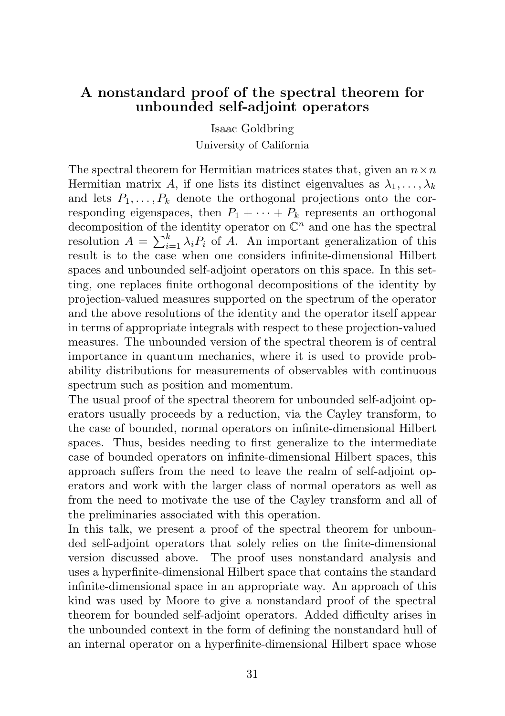#### <span id="page-30-0"></span>A nonstandard proof of the spectral theorem for unbounded self-adjoint operators

Isaac Goldbring University of California

The spectral theorem for Hermitian matrices states that, given an  $n \times n$ Hermitian matrix A, if one lists its distinct eigenvalues as  $\lambda_1, \ldots, \lambda_k$ and lets  $P_1, \ldots, P_k$  denote the orthogonal projections onto the corresponding eigenspaces, then  $P_1 + \cdots + P_k$  represents an orthogonal decomposition of the identity operator on  $\mathbb{C}^n$  and one has the spectral resolution  $A = \sum_{i=1}^{k} \lambda_i P_i$  of A. An important generalization of this result is to the case when one considers infinite-dimensional Hilbert spaces and unbounded self-adjoint operators on this space. In this setting, one replaces finite orthogonal decompositions of the identity by projection-valued measures supported on the spectrum of the operator and the above resolutions of the identity and the operator itself appear in terms of appropriate integrals with respect to these projection-valued measures. The unbounded version of the spectral theorem is of central importance in quantum mechanics, where it is used to provide probability distributions for measurements of observables with continuous spectrum such as position and momentum.

The usual proof of the spectral theorem for unbounded self-adjoint operators usually proceeds by a reduction, via the Cayley transform, to the case of bounded, normal operators on infinite-dimensional Hilbert spaces. Thus, besides needing to first generalize to the intermediate case of bounded operators on infinite-dimensional Hilbert spaces, this approach suffers from the need to leave the realm of self-adjoint operators and work with the larger class of normal operators as well as from the need to motivate the use of the Cayley transform and all of the preliminaries associated with this operation.

In this talk, we present a proof of the spectral theorem for unbounded self-adjoint operators that solely relies on the finite-dimensional version discussed above. The proof uses nonstandard analysis and uses a hyperfinite-dimensional Hilbert space that contains the standard infinite-dimensional space in an appropriate way. An approach of this kind was used by Moore to give a nonstandard proof of the spectral theorem for bounded self-adjoint operators. Added difficulty arises in the unbounded context in the form of defining the nonstandard hull of an internal operator on a hyperfinite-dimensional Hilbert space whose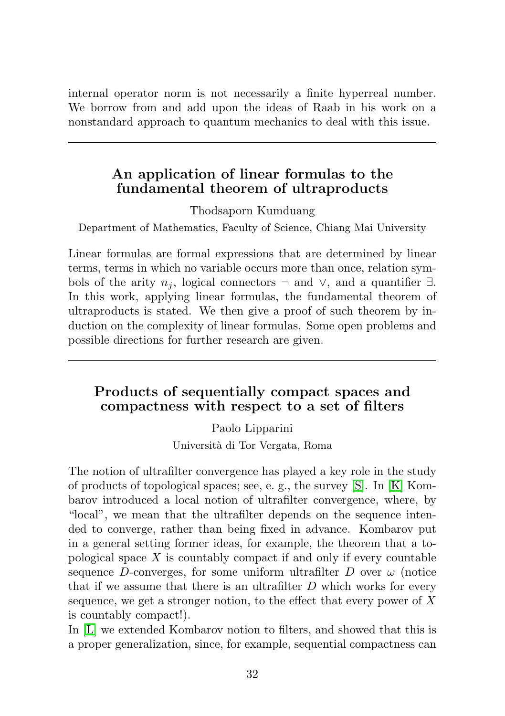<span id="page-31-0"></span>internal operator norm is not necessarily a finite hyperreal number. We borrow from and add upon the ideas of Raab in his work on a nonstandard approach to quantum mechanics to deal with this issue.

## An application of linear formulas to the fundamental theorem of ultraproducts

Thodsaporn Kumduang

Department of Mathematics, Faculty of Science, Chiang Mai University

Linear formulas are formal expressions that are determined by linear terms, terms in which no variable occurs more than once, relation symbols of the arity  $n_i$ , logical connectors  $\neg$  and  $\vee$ , and a quantifier  $\exists$ . In this work, applying linear formulas, the fundamental theorem of ultraproducts is stated. We then give a proof of such theorem by induction on the complexity of linear formulas. Some open problems and possible directions for further research are given.

## Products of sequentially compact spaces and compactness with respect to a set of filters

Paolo Lipparini Universit`a di Tor Vergata, Roma

The notion of ultrafilter convergence has played a key role in the study of products of topological spaces; see, e. g., the survey [\[S\]](#page-32-0). In [\[K\]](#page-32-1) Kombarov introduced a local notion of ultrafilter convergence, where, by "local", we mean that the ultrafilter depends on the sequence intended to converge, rather than being fixed in advance. Kombarov put in a general setting former ideas, for example, the theorem that a topological space  $X$  is countably compact if and only if every countable sequence D-converges, for some uniform ultrafilter D over  $\omega$  (notice that if we assume that there is an ultrafilter  $D$  which works for every sequence, we get a stronger notion, to the effect that every power of  $X$ is countably compact!).

In [\[L\]](#page-32-2) we extended Kombarov notion to filters, and showed that this is a proper generalization, since, for example, sequential compactness can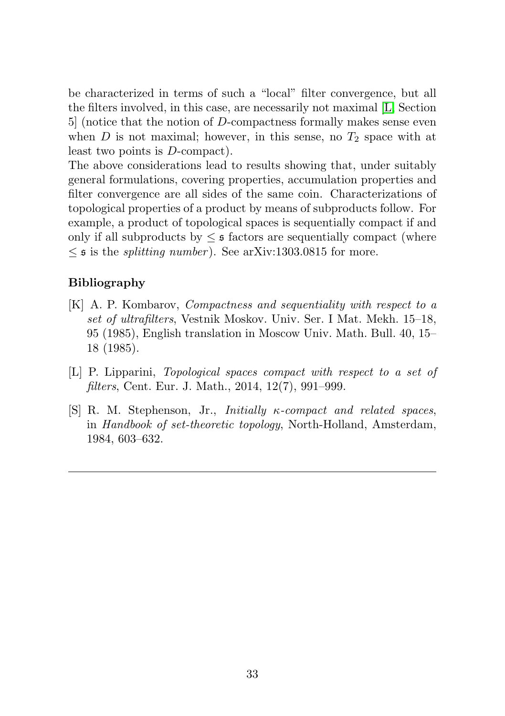be characterized in terms of such a "local" filter convergence, but all the filters involved, in this case, are necessarily not maximal [\[L,](#page-32-2) Section 5] (notice that the notion of D-compactness formally makes sense even when D is not maximal; however, in this sense, no  $T_2$  space with at least two points is D-compact).

The above considerations lead to results showing that, under suitably general formulations, covering properties, accumulation properties and filter convergence are all sides of the same coin. Characterizations of topological properties of a product by means of subproducts follow. For example, a product of topological spaces is sequentially compact if and only if all subproducts by  $\leq$  s factors are sequentially compact (where  $\leq$  5 is the *splitting number*). See arXiv:1303.0815 for more.

#### Bibliography

- <span id="page-32-1"></span>[K] A. P. Kombarov, Compactness and sequentiality with respect to a set of ultrafilters, Vestnik Moskov. Univ. Ser. I Mat. Mekh. 15–18, 95 (1985), English translation in Moscow Univ. Math. Bull. 40, 15– 18 (1985).
- <span id="page-32-2"></span>[L] P. Lipparini, Topological spaces compact with respect to a set of filters, Cent. Eur. J. Math., 2014, 12(7), 991–999.
- <span id="page-32-0"></span>[S] R. M. Stephenson, Jr., Initially κ-compact and related spaces, in Handbook of set-theoretic topology, North-Holland, Amsterdam, 1984, 603–632.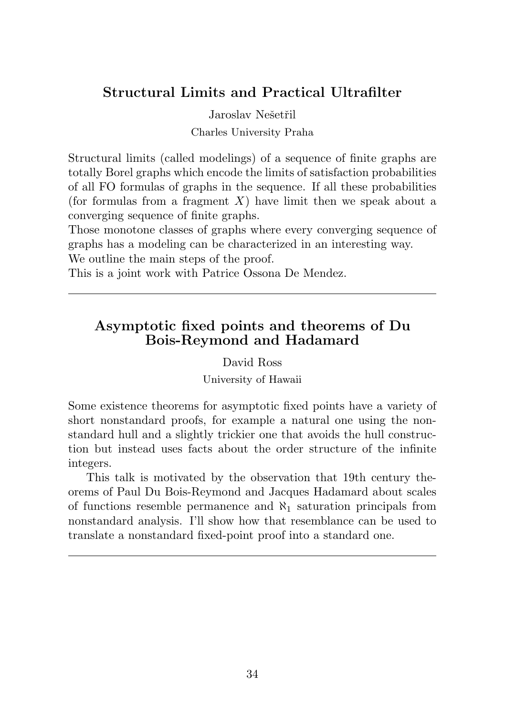## <span id="page-33-0"></span>Structural Limits and Practical Ultrafilter

Jaroslav Nešetřil Charles University Praha

Structural limits (called modelings) of a sequence of finite graphs are totally Borel graphs which encode the limits of satisfaction probabilities of all FO formulas of graphs in the sequence. If all these probabilities (for formulas from a fragment  $X$ ) have limit then we speak about a converging sequence of finite graphs.

Those monotone classes of graphs where every converging sequence of graphs has a modeling can be characterized in an interesting way.

We outline the main steps of the proof.

This is a joint work with Patrice Ossona De Mendez.

## Asymptotic fixed points and theorems of Du Bois-Reymond and Hadamard

#### David Ross

University of Hawaii

Some existence theorems for asymptotic fixed points have a variety of short nonstandard proofs, for example a natural one using the nonstandard hull and a slightly trickier one that avoids the hull construction but instead uses facts about the order structure of the infinite integers.

This talk is motivated by the observation that 19th century theorems of Paul Du Bois-Reymond and Jacques Hadamard about scales of functions resemble permanence and  $\aleph_1$  saturation principals from nonstandard analysis. I'll show how that resemblance can be used to translate a nonstandard fixed-point proof into a standard one.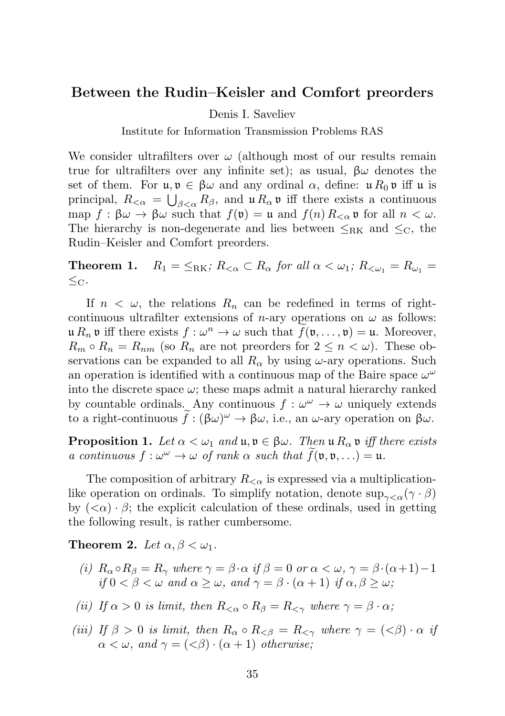#### <span id="page-34-0"></span>Between the Rudin–Keisler and Comfort preorders

Denis I. Saveliev

Institute for Information Transmission Problems RAS

We consider ultrafilters over  $\omega$  (although most of our results remain true for ultrafilters over any infinite set); as usual,  $\beta\omega$  denotes the set of them. For  $\mathfrak{u}, \mathfrak{v} \in \beta \omega$  and any ordinal  $\alpha$ , define:  $\mathfrak{u} R_0 \mathfrak{v}$  iff  $\mathfrak{u}$  is principal,  $R_{<\alpha} = \bigcup_{\beta<\alpha} R_{\beta}$ , and  $\mathfrak{u} R_{\alpha} \mathfrak{v}$  iff there exists a continuous map  $f : \beta\omega \to \beta\omega$  such that  $f(\mathfrak{v}) = \mathfrak{u}$  and  $f(n) R_{< \alpha} \mathfrak{v}$  for all  $n < \omega$ . The hierarchy is non-degenerate and lies between  $\leq_{\rm RK}$  and  $\leq_{\rm C}$ , the Rudin–Keisler and Comfort preorders.

**Theorem 1.**  $R_1 = \leq_{\text{RK}}$ ;  $R_{\leq \alpha} \subset R_\alpha$  for all  $\alpha < \omega_1$ ;  $R_{\leq \omega_1} = R_{\omega_1} =$  $\leq_{\rm C}$ .

If  $n < \omega$ , the relations  $R_n$  can be redefined in terms of rightcontinuous ultrafilter extensions of *n*-ary operations on  $\omega$  as follows:  $\mathfrak{u} R_n \mathfrak{v}$  iff there exists  $f : \omega^n \to \omega$  such that  $f(\mathfrak{v}, \ldots, \mathfrak{v}) = \mathfrak{u}$ . Moreover,  $R_m \circ R_n = R_{nm}$  (so  $R_n$  are not preorders for  $2 \leq n \lt \omega$ ). These observations can be expanded to all  $R_{\alpha}$  by using  $\omega$ -ary operations. Such an operation is identified with a continuous map of the Baire space  $\omega^{\omega}$ into the discrete space  $\omega$ ; these maps admit a natural hierarchy ranked by countable ordinals. Any continuous  $f: \omega^{\omega} \to \omega$  uniquely extends to a right-continuous  $\hat{f}: (\beta \omega)^{\omega} \to \beta \omega$ , i.e., an  $\omega$ -ary operation on  $\beta \omega$ .

**Proposition 1.** Let  $\alpha < \omega_1$  and  $\mathfrak{u}, \mathfrak{v} \in \beta \omega$ . Then  $\mathfrak{u} R_{\alpha} \mathfrak{v}$  iff there exists a continuous  $f: \omega^{\omega} \to \omega$  of rank  $\alpha$  such that  $\tilde{f}(\mathfrak{v}, \mathfrak{v}, \ldots) = \mathfrak{u}$ .

The composition of arbitrary  $R_{< \alpha}$  is expressed via a multiplicationlike operation on ordinals. To simplify notation, denote  $\sup_{\gamma \leq \alpha} (\gamma \cdot \beta)$ by  $( $\alpha$ ) \cdot \beta$ ; the explicit calculation of these ordinals, used in getting the following result, is rather cumbersome.

**Theorem 2.** Let  $\alpha, \beta < \omega_1$ .

- (i)  $R_{\alpha} \circ R_{\beta} = R_{\gamma}$  where  $\gamma = \beta \cdot \alpha$  if  $\beta = 0$  or  $\alpha < \omega, \gamma = \beta \cdot (\alpha + 1) 1$ if  $0 < \beta < \omega$  and  $\alpha \geq \omega$ , and  $\gamma = \beta \cdot (\alpha + 1)$  if  $\alpha, \beta \geq \omega$ ;
- (ii) If  $\alpha > 0$  is limit, then  $R_{\leq \alpha} \circ R_{\beta} = R_{\leq \gamma}$  where  $\gamma = \beta \cdot \alpha$ ;
- (iii) If  $\beta > 0$  is limit, then  $R_{\alpha} \circ R_{\leq \beta} = R_{\leq \gamma}$  where  $\gamma = (\leq \beta) \cdot \alpha$  if  $\alpha < \omega$ , and  $\gamma = \langle < \beta \rangle \cdot (\alpha + 1)$  otherwise;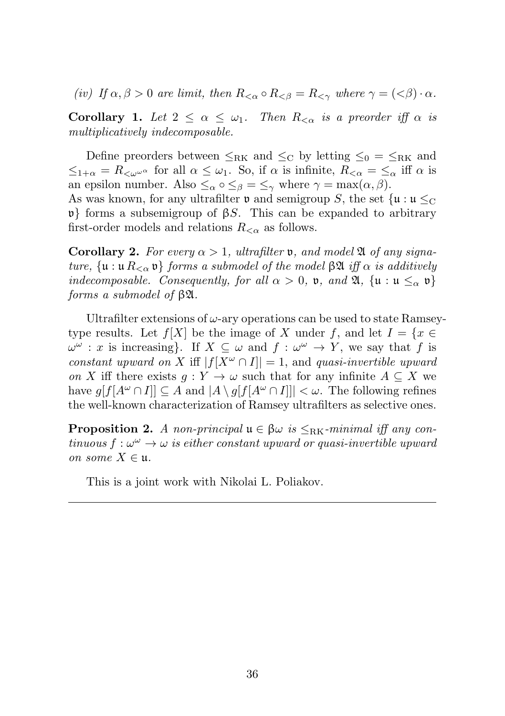(iv) If  $\alpha, \beta > 0$  are limit, then  $R_{\leq \alpha} \circ R_{\leq \beta} = R_{\leq \gamma}$  where  $\gamma = (\leq \beta) \cdot \alpha$ .

**Corollary 1.** Let  $2 \leq \alpha \leq \omega_1$ . Then  $R_{\leq \alpha}$  is a preorder iff  $\alpha$  is multiplicatively indecomposable.

Define preorders between  $\leq_{\rm RK}$  and  $\leq_{\rm C}$  by letting  $\leq_{0}$  =  $\leq_{\rm RK}$  and  $\leq_{1+\alpha}$  =  $R_{\leq \omega^{\omega^{\alpha}}}$  for all  $\alpha \leq \omega_1$ . So, if  $\alpha$  is infinite,  $R_{\leq \alpha} = \leq_{\alpha}$  iff  $\alpha$  is an epsilon number. Also  $\leq_\alpha \circ \leq_\beta \circ \leq_\gamma$  where  $\gamma = \max(\alpha, \beta)$ . As was known, for any ultrafilter  $\mathfrak v$  and semigroup S, the set  $\{ \mathfrak u : \mathfrak u \leq_{\mathrm{C}} \}$  $\mathfrak{v}$ } forms a subsemigroup of βS. This can be expanded to arbitrary

first-order models and relations  $R_{< \alpha}$  as follows.

**Corollary 2.** For every  $\alpha > 1$ , ultrafilter **v**, and model  $\mathfrak{A}$  of any signature,  $\{u : u R_{\leq \alpha} v\}$  forms a submodel of the model  $\beta \mathfrak{A}$  iff  $\alpha$  is additively indecomposable. Consequently, for all  $\alpha > 0$ , **v**, and  $\mathfrak{A}$ ,  $\{\mathfrak{u} : \mathfrak{u} \leq_{\alpha} \mathfrak{v}\}\$ forms a submodel of βA.

Ultrafilter extensions of  $\omega$ -ary operations can be used to state Ramseytype results. Let  $f[X]$  be the image of X under f, and let  $I = \{x \in$  $\omega^{\omega}: x$  is increasing}. If  $X \subseteq \omega$  and  $f : \omega^{\omega} \to Y$ , we say that f is constant upward on X iff  $|f[X^{\omega} \cap I]| = 1$ , and quasi-invertible upward on X iff there exists  $q: Y \to \omega$  such that for any infinite  $A \subseteq X$  we have  $q[f[A^{\omega} \cap I]] \subseteq A$  and  $|A \setminus q[f[A^{\omega} \cap I]]| < \omega$ . The following refines the well-known characterization of Ramsey ultrafilters as selective ones.

**Proposition 2.** A non-principal  $\mathfrak{u} \in \beta \omega$  is  $\leq_{\rm RK}$ -minimal iff any con $t_{inuous} f: \omega^{\omega} \to \omega$  is either constant upward or quasi-invertible upward on some  $X \in \mathfrak{u}$ .

This is a joint work with Nikolai L. Poliakov.